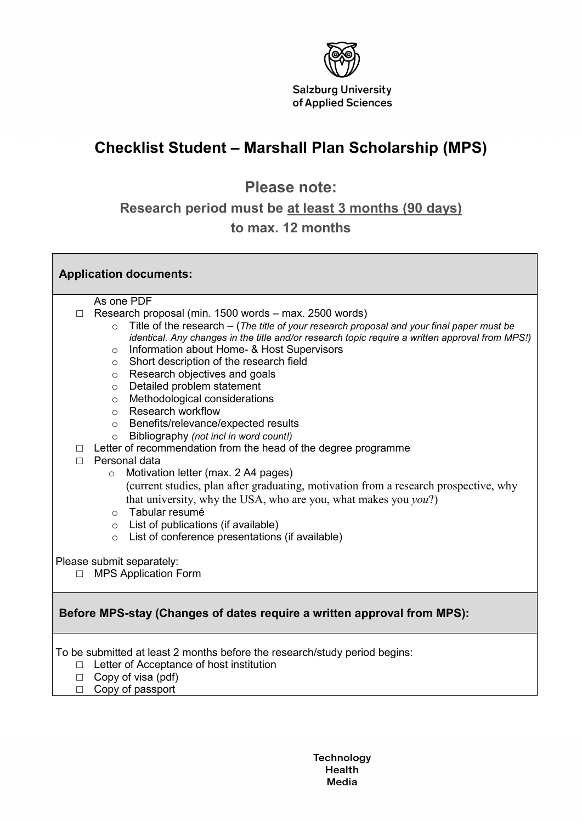

٦

## **Checklist Student – Marshall Plan Scholarship (MPS)**

**Please note:** 

**Research period must be at least 3 months (90 days)**

## **to max. 12 months**

| <b>Application documents:</b>                                           |                                                                                                                                              |
|-------------------------------------------------------------------------|----------------------------------------------------------------------------------------------------------------------------------------------|
|                                                                         | As one PDF                                                                                                                                   |
| $\Box$                                                                  | Research proposal (min. 1500 words – max. 2500 words)                                                                                        |
|                                                                         | Title of the research – (The title of your research proposal and your final paper must be<br>$\circ$                                         |
|                                                                         | identical. Any changes in the title and/or research topic require a written approval from MPS!)                                              |
|                                                                         | Information about Home- & Host Supervisors<br>$\circ$                                                                                        |
|                                                                         | Short description of the research field<br>$\circ$                                                                                           |
|                                                                         | Research objectives and goals<br>$\circ$                                                                                                     |
|                                                                         | Detailed problem statement<br>$\circ$                                                                                                        |
|                                                                         | Methodological considerations<br>$\circ$                                                                                                     |
|                                                                         | <b>Research workflow</b><br>$\circ$                                                                                                          |
|                                                                         | Benefits/relevance/expected results<br>$\circ$                                                                                               |
|                                                                         | Bibliography (not incl in word count!)<br>$\circ$                                                                                            |
| П                                                                       | Letter of recommendation from the head of the degree programme                                                                               |
| П                                                                       | Personal data                                                                                                                                |
|                                                                         | Motivation letter (max. 2 A4 pages)<br>$\circ$                                                                                               |
|                                                                         | (current studies, plan after graduating, motivation from a research prospective, why                                                         |
|                                                                         | that university, why the USA, who are you, what makes you you?)                                                                              |
|                                                                         | Tabular resumé<br>$\circ$                                                                                                                    |
|                                                                         | List of publications (if available)<br>$\circ$                                                                                               |
|                                                                         | List of conference presentations (if available)<br>$\circ$                                                                                   |
|                                                                         | Please submit separately:                                                                                                                    |
| $\Box$                                                                  | <b>MPS Application Form</b>                                                                                                                  |
|                                                                         |                                                                                                                                              |
| Before MPS-stay (Changes of dates require a written approval from MPS): |                                                                                                                                              |
| $\Box$<br>$\Box$                                                        | To be submitted at least 2 months before the research/study period begins:<br>Letter of Acceptance of host institution<br>Copy of visa (pdf) |

□ Copy of passport

**Technology** Health Media